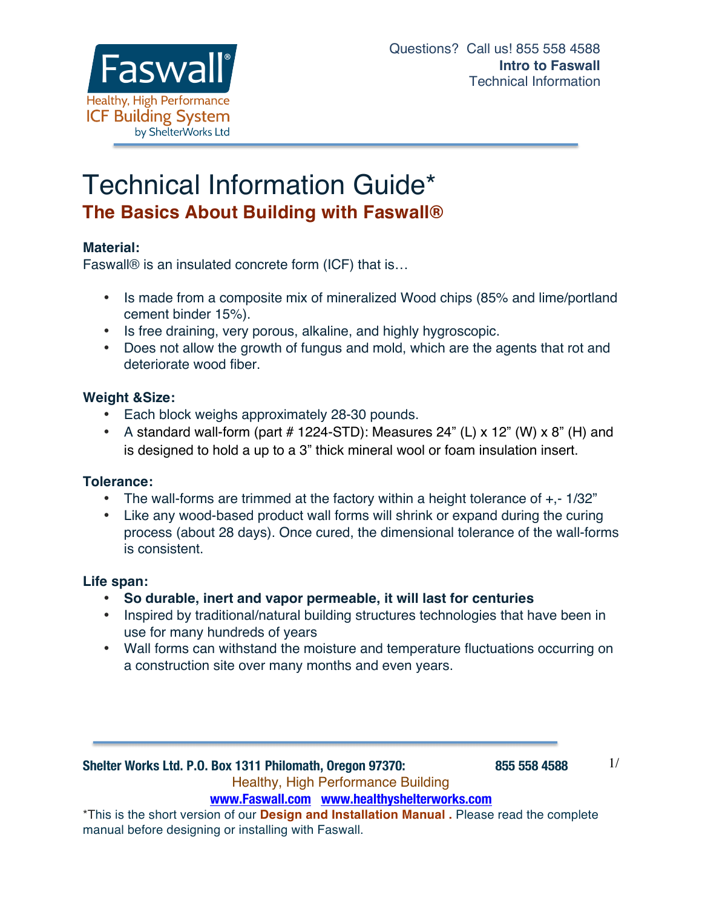

# Technical Information Guide\* **The Basics About Building with Faswall®**

## **Material:**

Faswall® is an insulated concrete form (ICF) that is…

- Is made from a composite mix of mineralized Wood chips (85% and lime/portland cement binder 15%).
- Is free draining, very porous, alkaline, and highly hygroscopic.
- Does not allow the growth of fungus and mold, which are the agents that rot and deteriorate wood fiber.

## **Weight &Size:**

- Each block weighs approximately 28-30 pounds.
- A standard wall-form (part  $#$  1224-STD): Measures 24" (L) x 12" (W) x 8" (H) and is designed to hold a up to a 3" thick mineral wool or foam insulation insert.

#### **Tolerance:**

- The wall-forms are trimmed at the factory within a height tolerance of  $+, -1/32"$
- Like any wood-based product wall forms will shrink or expand during the curing process (about 28 days). Once cured, the dimensional tolerance of the wall-forms is consistent.

## **Life span:**

- **So durable, inert and vapor permeable, it will last for centuries**
- Inspired by traditional/natural building structures technologies that have been in use for many hundreds of years
- Wall forms can withstand the moisture and temperature fluctuations occurring on a construction site over many months and even years.

**Shelter Works Ltd. P.O. Box 1311 Philomath, Oregon 97370: 855 558 4588** Healthy, High Performance Building **www.Faswall.com www.healthyshelterworks.com**

\*This is the short version of our **Design and Installation Manual .** Please read the complete manual before designing or installing with Faswall.

1/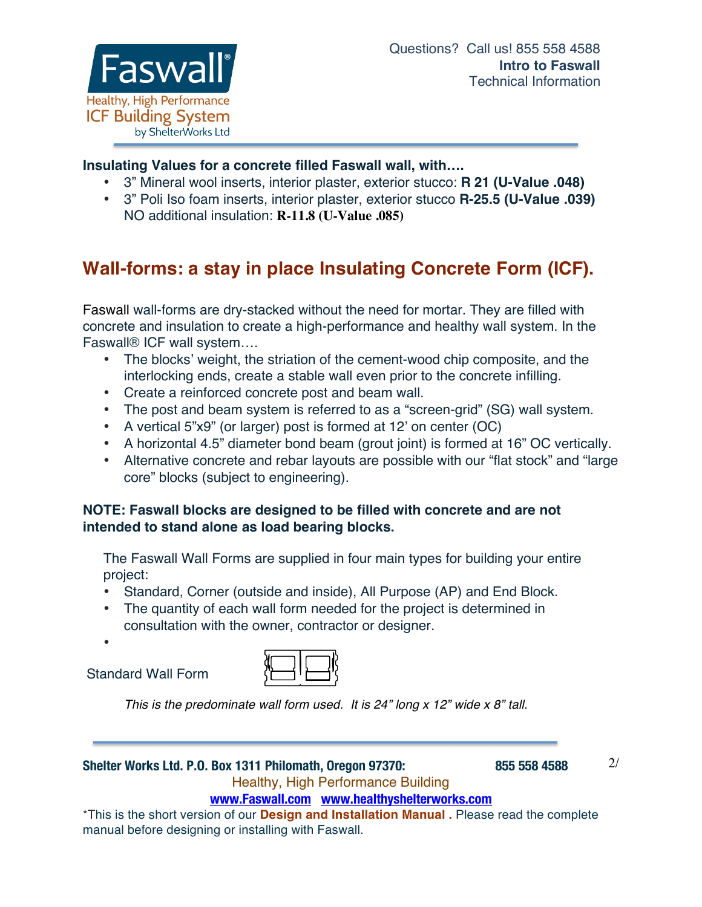

## **Insulating Values for a concrete filled Faswall wall, with….**

- 3" Mineral wool inserts, interior plaster, exterior stucco: **R 21 (U-Value .048)**
- 3" Poli Iso foam inserts, interior plaster, exterior stucco **R-25.5 (U-Value .039)** NO additional insulation: **R-11.8 (U-Value .085)**

## **Wall-forms: a stay in place Insulating Concrete Form (ICF).**

Faswall wall-forms are dry-stacked without the need for mortar. They are filled with concrete and insulation to create a high-performance and healthy wall system. In the Faswall® ICF wall system….

- The blocks' weight, the striation of the cement-wood chip composite, and the interlocking ends, create a stable wall even prior to the concrete infilling.
- Create a reinforced concrete post and beam wall.
- The post and beam system is referred to as a "screen-grid" (SG) wall system.
- A vertical 5"x9" (or larger) post is formed at 12' on center (OC)
- A horizontal 4.5" diameter bond beam (grout joint) is formed at 16" OC vertically.
- Alternative concrete and rebar layouts are possible with our "flat stock" and "large core" blocks (subject to engineering).

## **NOTE: Faswall blocks are designed to be filled with concrete and are not intended to stand alone as load bearing blocks.**

The Faswall Wall Forms are supplied in four main types for building your entire project:

- Standard, Corner (outside and inside), All Purpose (AP) and End Block.
- The quantity of each wall form needed for the project is determined in consultation with the owner, contractor or designer.

•

Standard Wall Form



*This is the predominate wall form used. It is 24" long x 12" wide x 8" tall.*

#### **Shelter Works Ltd. P.O. Box 1311 Philomath, Oregon 97370: 855 558 4588** Healthy, High Performance Building

2/

## **www.Faswall.com www.healthyshelterworks.com**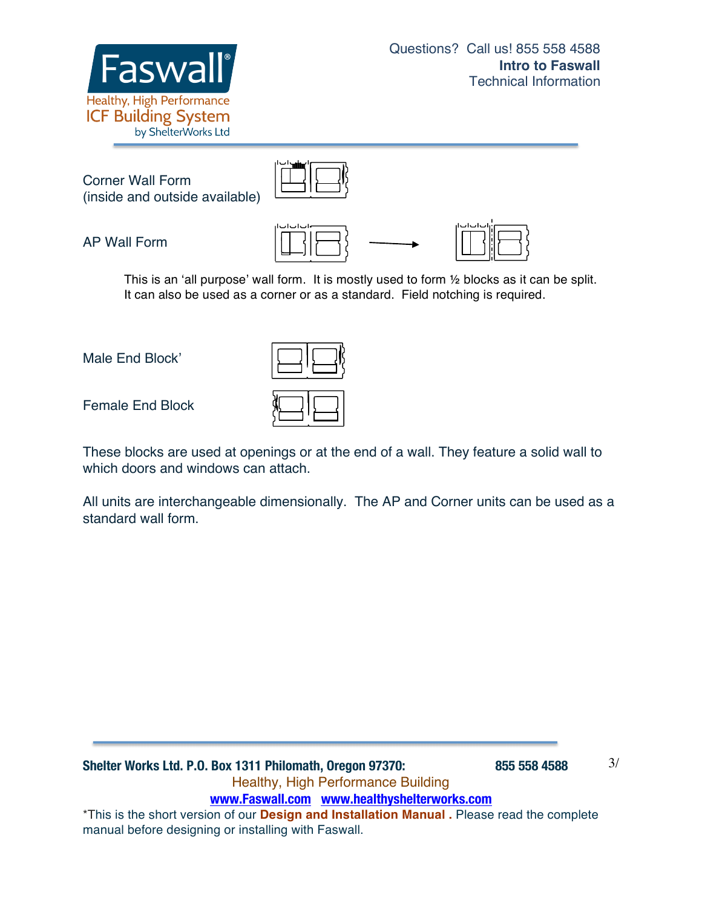



Corner Wall Form (inside and outside available)



AP Wall Form





This is an 'all purpose' wall form. It is mostly used to form ½ blocks as it can be split. It can also be used as a corner or as a standard. Field notching is required.

Male End Block'

Female End Block

These blocks are used at openings or at the end of a wall. They feature a solid wall to which doors and windows can attach.

All units are interchangeable dimensionally. The AP and Corner units can be used as a standard wall form.

**Shelter Works Ltd. P.O. Box 1311 Philomath, Oregon 97370: 855 558 4588** Healthy, High Performance Building **www.Faswall.com www.healthyshelterworks.com** \*This is the short version of our **Design and Installation Manual .** Please read the complete manual before designing or installing with Faswall.

3/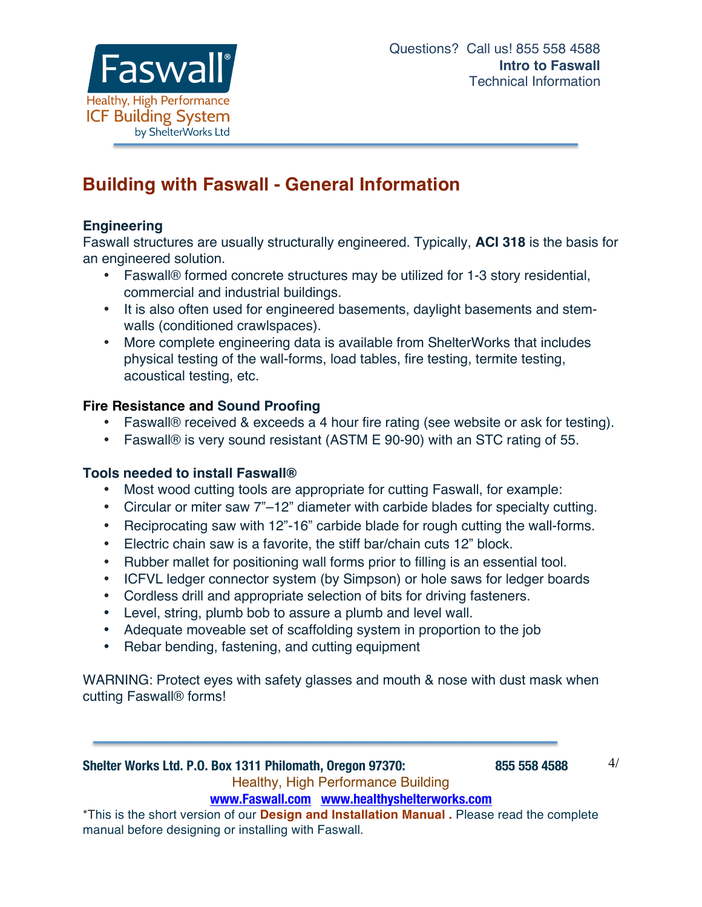

## **Building with Faswall - General Information**

## **Engineering**

Faswall structures are usually structurally engineered. Typically, **ACI 318** is the basis for an engineered solution.

- Faswall® formed concrete structures may be utilized for 1-3 story residential, commercial and industrial buildings.
- It is also often used for engineered basements, daylight basements and stemwalls (conditioned crawlspaces).
- More complete engineering data is available from ShelterWorks that includes physical testing of the wall-forms, load tables, fire testing, termite testing, acoustical testing, etc.

## **Fire Resistance and Sound Proofing**

- Faswall® received & exceeds a 4 hour fire rating (see website or ask for testing).
- Faswall® is very sound resistant (ASTM E 90-90) with an STC rating of 55.

## **Tools needed to install Faswall®**

- Most wood cutting tools are appropriate for cutting Faswall, for example:
- Circular or miter saw 7"–12" diameter with carbide blades for specialty cutting.
- Reciprocating saw with 12"-16" carbide blade for rough cutting the wall-forms.
- Electric chain saw is a favorite, the stiff bar/chain cuts 12" block.
- Rubber mallet for positioning wall forms prior to filling is an essential tool.
- ICFVL ledger connector system (by Simpson) or hole saws for ledger boards
- Cordless drill and appropriate selection of bits for driving fasteners.
- Level, string, plumb bob to assure a plumb and level wall.
- Adequate moveable set of scaffolding system in proportion to the job
- Rebar bending, fastening, and cutting equipment

WARNING: Protect eyes with safety glasses and mouth & nose with dust mask when cutting Faswall® forms!

## **Shelter Works Ltd. P.O. Box 1311 Philomath, Oregon 97370: 855 558 4588** Healthy, High Performance Building

4/

**www.Faswall.com www.healthyshelterworks.com**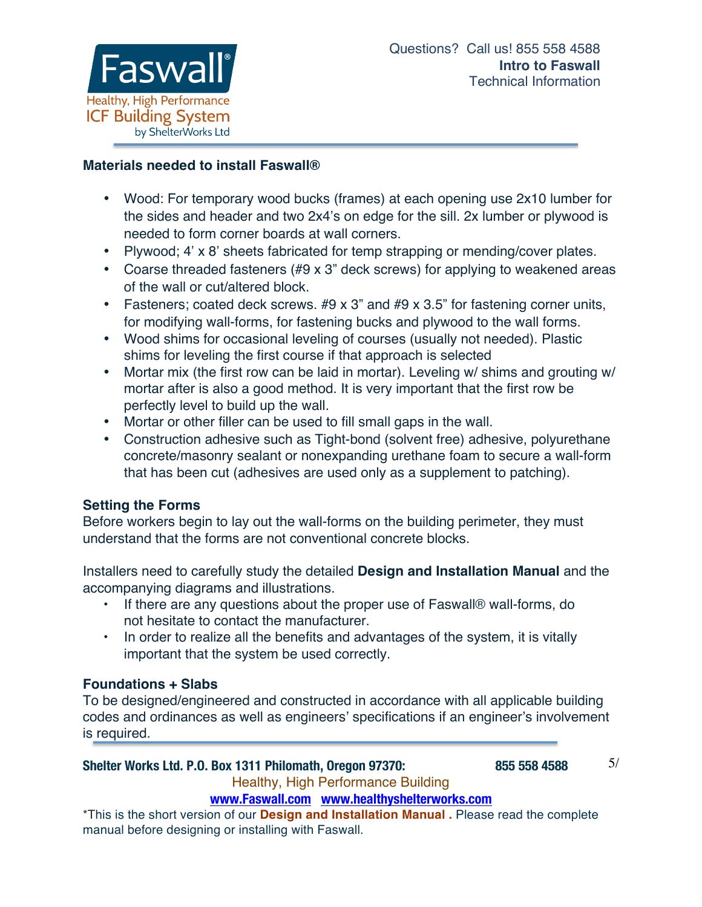

## **Materials needed to install Faswall®**

- Wood: For temporary wood bucks (frames) at each opening use 2x10 lumber for the sides and header and two 2x4's on edge for the sill. 2x lumber or plywood is needed to form corner boards at wall corners.
- Plywood; 4' x 8' sheets fabricated for temp strapping or mending/cover plates.
- Coarse threaded fasteners (#9 x 3" deck screws) for applying to weakened areas of the wall or cut/altered block.
- Fasteners; coated deck screws. #9 x 3" and #9 x 3.5" for fastening corner units, for modifying wall-forms, for fastening bucks and plywood to the wall forms.
- Wood shims for occasional leveling of courses (usually not needed). Plastic shims for leveling the first course if that approach is selected
- Mortar mix (the first row can be laid in mortar). Leveling w/ shims and grouting w/ mortar after is also a good method. It is very important that the first row be perfectly level to build up the wall.
- Mortar or other filler can be used to fill small gaps in the wall.
- Construction adhesive such as Tight-bond (solvent free) adhesive, polyurethane concrete/masonry sealant or nonexpanding urethane foam to secure a wall-form that has been cut (adhesives are used only as a supplement to patching).

## **Setting the Forms**

Before workers begin to lay out the wall-forms on the building perimeter, they must understand that the forms are not conventional concrete blocks.

Installers need to carefully study the detailed **Design and Installation Manual** and the accompanying diagrams and illustrations.

- If there are any questions about the proper use of Faswall® wall-forms, do not hesitate to contact the manufacturer.
- In order to realize all the benefits and advantages of the system, it is vitally important that the system be used correctly.

#### **Foundations + Slabs**

To be designed/engineered and constructed in accordance with all applicable building codes and ordinances as well as engineers' specifications if an engineer's involvement is required.

#### **Shelter Works Ltd. P.O. Box 1311 Philomath, Oregon 97370: 855 558 4588**

5/

Healthy, High Performance Building

#### **www.Faswall.com www.healthyshelterworks.com**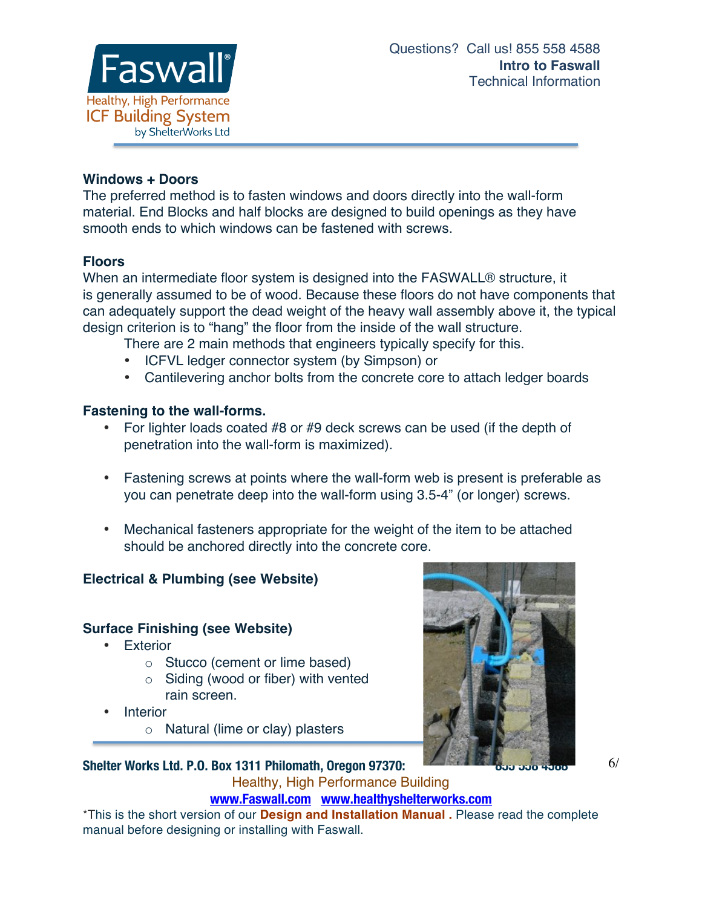

## **Windows + Doors**

The preferred method is to fasten windows and doors directly into the wall-form material. End Blocks and half blocks are designed to build openings as they have smooth ends to which windows can be fastened with screws.

## **Floors**

When an intermediate floor system is designed into the FASWALL® structure, it is generally assumed to be of wood. Because these floors do not have components that can adequately support the dead weight of the heavy wall assembly above it, the typical design criterion is to "hang" the floor from the inside of the wall structure.

There are 2 main methods that engineers typically specify for this.

- ICFVL ledger connector system (by Simpson) or
- Cantilevering anchor bolts from the concrete core to attach ledger boards

## **Fastening to the wall-forms.**

- For lighter loads coated #8 or #9 deck screws can be used (if the depth of penetration into the wall-form is maximized).
- Fastening screws at points where the wall-form web is present is preferable as you can penetrate deep into the wall-form using 3.5-4" (or longer) screws.
- Mechanical fasteners appropriate for the weight of the item to be attached should be anchored directly into the concrete core.

## **Electrical & Plumbing (see Website)**

## **Surface Finishing (see Website)**

- Exterior
	- o Stucco (cement or lime based)
	- $\circ$  Siding (wood or fiber) with vented rain screen.
- **Interior** 
	- o Natural (lime or clay) plasters



6/

**Shelter Works Ltd. P.O. Box 1311 Philomath, Oregon 97370:** Healthy, High Performance Building

**www.Faswall.com www.healthyshelterworks.com**